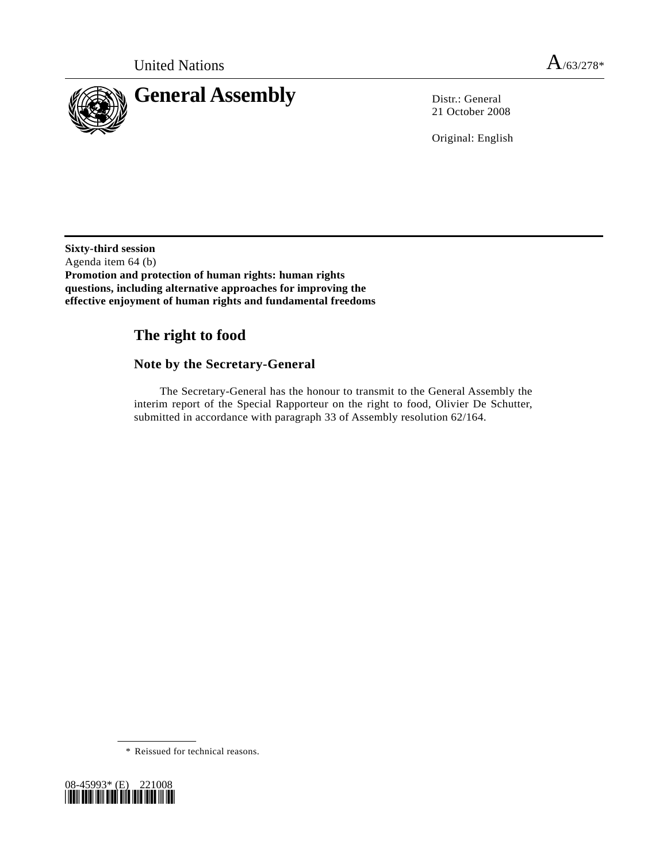

21 October 2008

Original: English

**Sixty-third session**  Agenda item 64 (b) **Promotion and protection of human rights: human rights questions, including alternative approaches for improving the effective enjoyment of human rights and fundamental freedoms** 

# **The right to food**

# **Note by the Secretary-General**

 The Secretary-General has the honour to transmit to the General Assembly the interim report of the Special Rapporteur on the right to food, Olivier De Schutter, submitted in accordance with paragraph 33 of Assembly resolution 62/164.

\* Reissued for technical reasons.

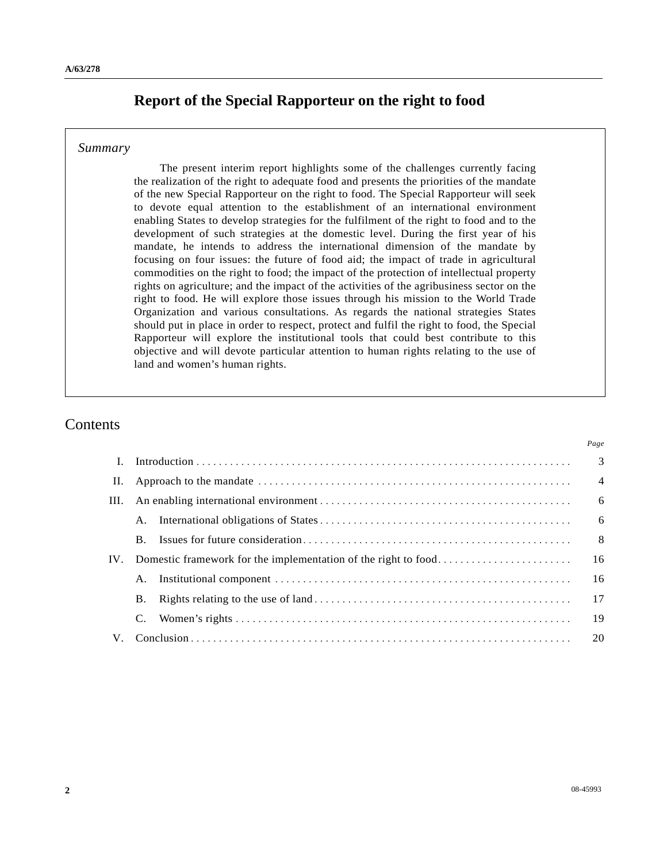# **Report of the Special Rapporteur on the right to food**

### *Summary*

 The present interim report highlights some of the challenges currently facing the realization of the right to adequate food and presents the priorities of the mandate of the new Special Rapporteur on the right to food. The Special Rapporteur will seek to devote equal attention to the establishment of an international environment enabling States to develop strategies for the fulfilment of the right to food and to the development of such strategies at the domestic level. During the first year of his mandate, he intends to address the international dimension of the mandate by focusing on four issues: the future of food aid; the impact of trade in agricultural commodities on the right to food; the impact of the protection of intellectual property rights on agriculture; and the impact of the activities of the agribusiness sector on the right to food. He will explore those issues through his mission to the World Trade Organization and various consultations. As regards the national strategies States should put in place in order to respect, protect and fulfil the right to food, the Special Rapporteur will explore the institutional tools that could best contribute to this objective and will devote particular attention to human rights relating to the use of land and women's human rights.

# Contents

| $\mathbf{I}$ . |                |  |                           |
|----------------|----------------|--|---------------------------|
| П.             |                |  | $\overline{4}$            |
| III.           |                |  | $6\overline{6}$           |
|                |                |  | 6                         |
|                | $\mathbf{B}$ . |  | $\overline{\phantom{0}}8$ |
| IV.            |                |  |                           |
|                | A.             |  | 16                        |
|                | <b>B.</b>      |  |                           |
|                |                |  |                           |
| $V_{\cdot}$    |                |  |                           |

*Page*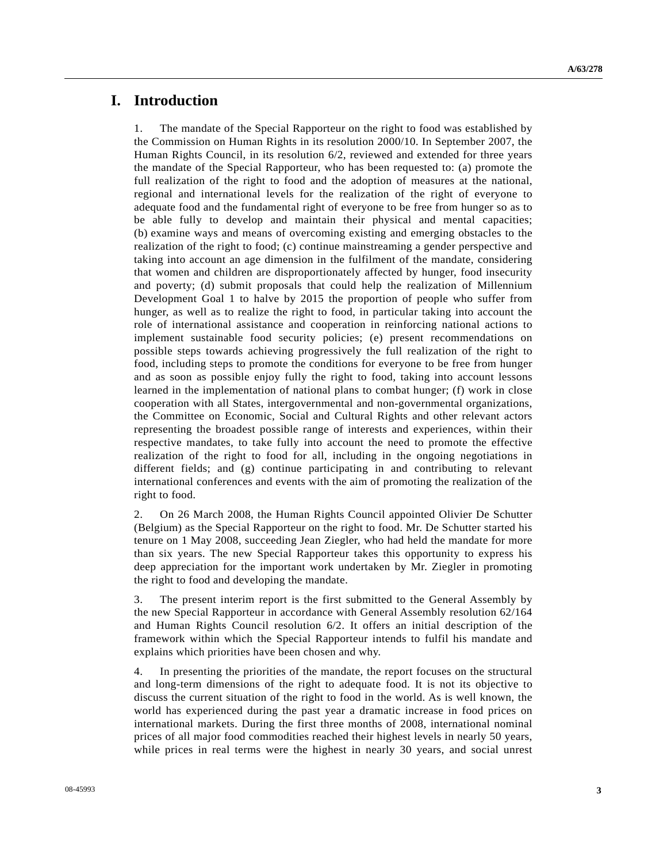## **I. Introduction**

1. The mandate of the Special Rapporteur on the right to food was established by the Commission on Human Rights in its resolution 2000/10. In September 2007, the Human Rights Council, in its resolution 6/2, reviewed and extended for three years the mandate of the Special Rapporteur, who has been requested to: (a) promote the full realization of the right to food and the adoption of measures at the national, regional and international levels for the realization of the right of everyone to adequate food and the fundamental right of everyone to be free from hunger so as to be able fully to develop and maintain their physical and mental capacities; (b) examine ways and means of overcoming existing and emerging obstacles to the realization of the right to food; (c) continue mainstreaming a gender perspective and taking into account an age dimension in the fulfilment of the mandate, considering that women and children are disproportionately affected by hunger, food insecurity and poverty; (d) submit proposals that could help the realization of Millennium Development Goal 1 to halve by 2015 the proportion of people who suffer from hunger, as well as to realize the right to food, in particular taking into account the role of international assistance and cooperation in reinforcing national actions to implement sustainable food security policies; (e) present recommendations on possible steps towards achieving progressively the full realization of the right to food, including steps to promote the conditions for everyone to be free from hunger and as soon as possible enjoy fully the right to food, taking into account lessons learned in the implementation of national plans to combat hunger; (f) work in close cooperation with all States, intergovernmental and non-governmental organizations, the Committee on Economic, Social and Cultural Rights and other relevant actors representing the broadest possible range of interests and experiences, within their respective mandates, to take fully into account the need to promote the effective realization of the right to food for all, including in the ongoing negotiations in different fields; and (g) continue participating in and contributing to relevant international conferences and events with the aim of promoting the realization of the right to food.

2. On 26 March 2008, the Human Rights Council appointed Olivier De Schutter (Belgium) as the Special Rapporteur on the right to food. Mr. De Schutter started his tenure on 1 May 2008, succeeding Jean Ziegler, who had held the mandate for more than six years. The new Special Rapporteur takes this opportunity to express his deep appreciation for the important work undertaken by Mr. Ziegler in promoting the right to food and developing the mandate.

3. The present interim report is the first submitted to the General Assembly by the new Special Rapporteur in accordance with General Assembly resolution 62/164 and Human Rights Council resolution 6/2. It offers an initial description of the framework within which the Special Rapporteur intends to fulfil his mandate and explains which priorities have been chosen and why.

4. In presenting the priorities of the mandate, the report focuses on the structural and long-term dimensions of the right to adequate food. It is not its objective to discuss the current situation of the right to food in the world. As is well known, the world has experienced during the past year a dramatic increase in food prices on international markets. During the first three months of 2008, international nominal prices of all major food commodities reached their highest levels in nearly 50 years, while prices in real terms were the highest in nearly 30 years, and social unrest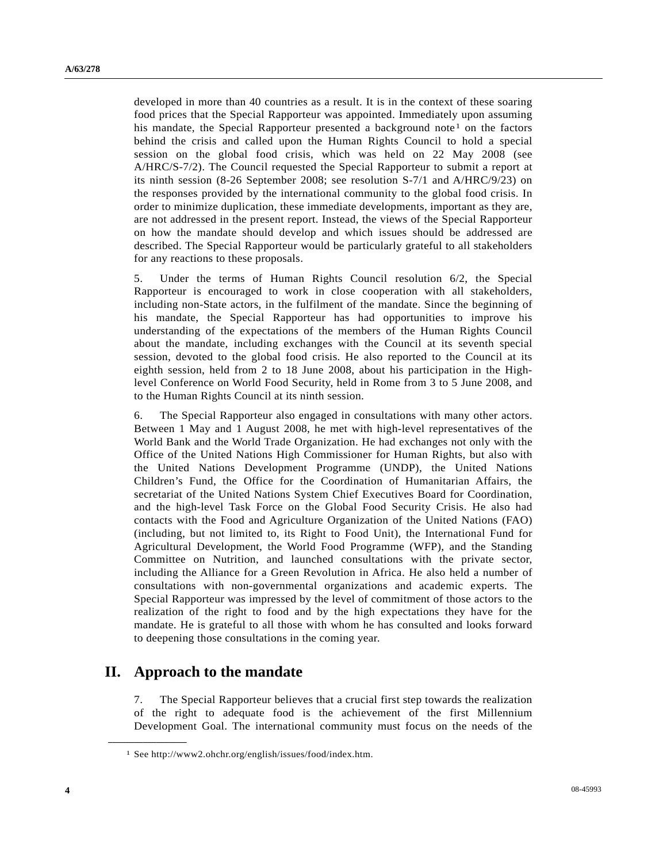developed in more than 40 countries as a result. It is in the context of these soaring food prices that the Special Rapporteur was appointed. Immediately upon assuming his mandate, the Special Rapporteur presented a background note<sup>1</sup> on the factors behind the crisis and called upon the Human Rights Council to hold a special session on the global food crisis, which was held on 22 May 2008 (see A/HRC/S-7/2). The Council requested the Special Rapporteur to submit a report at its ninth session (8-26 September 2008; see resolution S-7/1 and A/HRC/9/23) on the responses provided by the international community to the global food crisis. In order to minimize duplication, these immediate developments, important as they are, are not addressed in the present report. Instead, the views of the Special Rapporteur on how the mandate should develop and which issues should be addressed are described. The Special Rapporteur would be particularly grateful to all stakeholders for any reactions to these proposals.

5. Under the terms of Human Rights Council resolution 6/2, the Special Rapporteur is encouraged to work in close cooperation with all stakeholders, including non-State actors, in the fulfilment of the mandate. Since the beginning of his mandate, the Special Rapporteur has had opportunities to improve his understanding of the expectations of the members of the Human Rights Council about the mandate, including exchanges with the Council at its seventh special session, devoted to the global food crisis. He also reported to the Council at its eighth session, held from 2 to 18 June 2008, about his participation in the Highlevel Conference on World Food Security, held in Rome from 3 to 5 June 2008, and to the Human Rights Council at its ninth session.

6. The Special Rapporteur also engaged in consultations with many other actors. Between 1 May and 1 August 2008, he met with high-level representatives of the World Bank and the World Trade Organization. He had exchanges not only with the Office of the United Nations High Commissioner for Human Rights, but also with the United Nations Development Programme (UNDP), the United Nations Children's Fund, the Office for the Coordination of Humanitarian Affairs, the secretariat of the United Nations System Chief Executives Board for Coordination, and the high-level Task Force on the Global Food Security Crisis. He also had contacts with the Food and Agriculture Organization of the United Nations (FAO) (including, but not limited to, its Right to Food Unit), the International Fund for Agricultural Development, the World Food Programme (WFP), and the Standing Committee on Nutrition, and launched consultations with the private sector, including the Alliance for a Green Revolution in Africa. He also held a number of consultations with non-governmental organizations and academic experts. The Special Rapporteur was impressed by the level of commitment of those actors to the realization of the right to food and by the high expectations they have for the mandate. He is grateful to all those with whom he has consulted and looks forward to deepening those consultations in the coming year.

# **II. Approach to the mandate**

<span id="page-3-0"></span>**\_\_\_\_\_\_\_\_\_\_\_\_\_\_\_\_\_\_** 

7. The Special Rapporteur believes that a crucial first step towards the realization of the right to adequate food is the achievement of the first Millennium Development Goal. The international community must focus on the needs of the

<sup>1</sup> See http://www2.ohchr.org/english/issues/food/index.htm.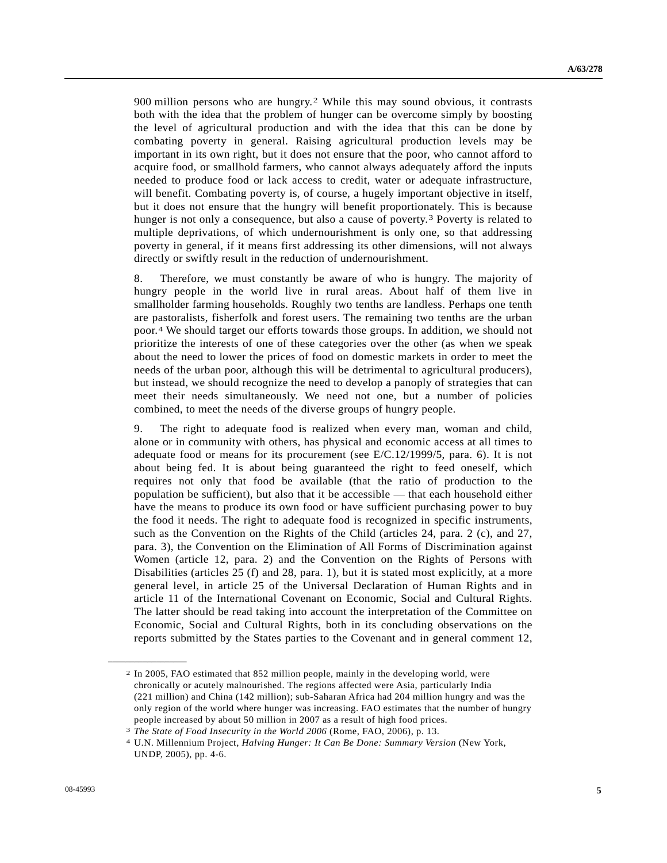900 million persons who are hungry.[2](#page-4-0) While this may sound obvious, it contrasts both with the idea that the problem of hunger can be overcome simply by boosting the level of agricultural production and with the idea that this can be done by combating poverty in general. Raising agricultural production levels may be important in its own right, but it does not ensure that the poor, who cannot afford to acquire food, or smallhold farmers, who cannot always adequately afford the inputs needed to produce food or lack access to credit, water or adequate infrastructure, will benefit. Combating poverty is, of course, a hugely important objective in itself, but it does not ensure that the hungry will benefit proportionately. This is because hunger is not only a consequence, but also a cause of poverty.[3](#page-4-1) Poverty is related to multiple deprivations, of which undernourishment is only one, so that addressing poverty in general, if it means first addressing its other dimensions, will not always directly or swiftly result in the reduction of undernourishment.

8. Therefore, we must constantly be aware of who is hungry. The majority of hungry people in the world live in rural areas. About half of them live in smallholder farming households. Roughly two tenths are landless. Perhaps one tenth are pastoralists, fisherfolk and forest users. The remaining two tenths are the urban poor.[4](#page-4-2) We should target our efforts towards those groups. In addition, we should not prioritize the interests of one of these categories over the other (as when we speak about the need to lower the prices of food on domestic markets in order to meet the needs of the urban poor, although this will be detrimental to agricultural producers), but instead, we should recognize the need to develop a panoply of strategies that can meet their needs simultaneously. We need not one, but a number of policies combined, to meet the needs of the diverse groups of hungry people.

9. The right to adequate food is realized when every man, woman and child, alone or in community with others, has physical and economic access at all times to adequate food or means for its procurement (see E/C.12/1999/5, para. 6). It is not about being fed. It is about being guaranteed the right to feed oneself, which requires not only that food be available (that the ratio of production to the population be sufficient), but also that it be accessible — that each household either have the means to produce its own food or have sufficient purchasing power to buy the food it needs. The right to adequate food is recognized in specific instruments, such as the Convention on the Rights of the Child (articles 24, para. 2 (c), and 27, para. 3), the Convention on the Elimination of All Forms of Discrimination against Women (article 12, para. 2) and the Convention on the Rights of Persons with Disabilities (articles 25 (f) and 28, para. 1), but it is stated most explicitly, at a more general level, in article 25 of the Universal Declaration of Human Rights and in article 11 of the International Covenant on Economic, Social and Cultural Rights. The latter should be read taking into account the interpretation of the Committee on Economic, Social and Cultural Rights, both in its concluding observations on the reports submitted by the States parties to the Covenant and in general comment 12,

<span id="page-4-0"></span><sup>2</sup> In 2005, FAO estimated that 852 million people, mainly in the developing world, were chronically or acutely malnourished. The regions affected were Asia, particularly India (221 million) and China (142 million); sub-Saharan Africa had 204 million hungry and was the only region of the world where hunger was increasing. FAO estimates that the number of hungry people increased by about 50 million in 2007 as a result of high food prices.

<span id="page-4-2"></span><span id="page-4-1"></span><sup>3</sup>*The State of Food Insecurity in the World 2006* (Rome, FAO, 2006), p. 13. 4 U.N. Millennium Project, *Halving Hunger: It Can Be Done: Summary Version* (New York, UNDP, 2005), pp. 4-6.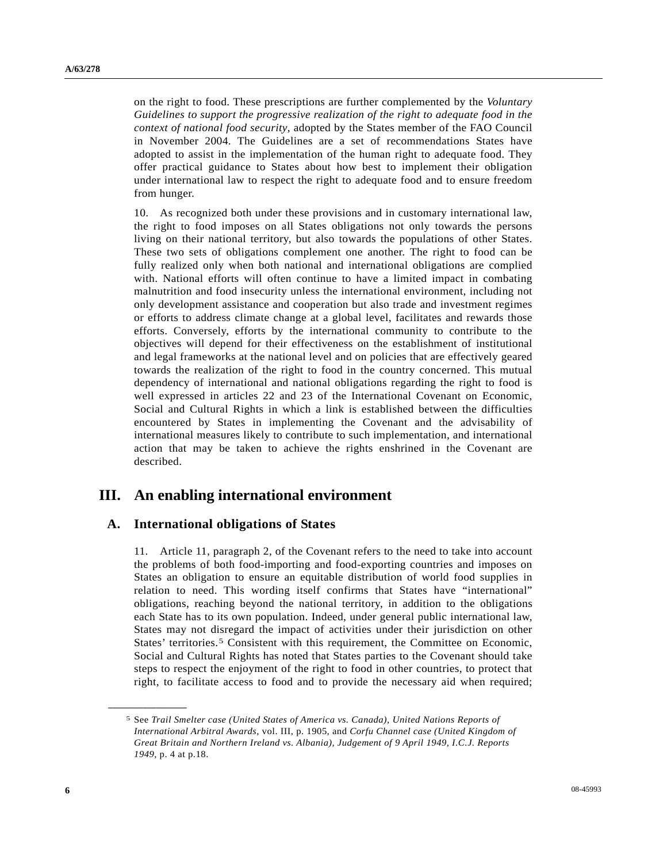on the right to food. These prescriptions are further complemented by the *Voluntary Guidelines to support the progressive realization of the right to adequate food in the context of national food security*, adopted by the States member of the FAO Council in November 2004. The Guidelines are a set of recommendations States have adopted to assist in the implementation of the human right to adequate food. They offer practical guidance to States about how best to implement their obligation under international law to respect the right to adequate food and to ensure freedom from hunger.

10. As recognized both under these provisions and in customary international law, the right to food imposes on all States obligations not only towards the persons living on their national territory, but also towards the populations of other States. These two sets of obligations complement one another. The right to food can be fully realized only when both national and international obligations are complied with. National efforts will often continue to have a limited impact in combating malnutrition and food insecurity unless the international environment, including not only development assistance and cooperation but also trade and investment regimes or efforts to address climate change at a global level, facilitates and rewards those efforts. Conversely, efforts by the international community to contribute to the objectives will depend for their effectiveness on the establishment of institutional and legal frameworks at the national level and on policies that are effectively geared towards the realization of the right to food in the country concerned. This mutual dependency of international and national obligations regarding the right to food is well expressed in articles 22 and 23 of the International Covenant on Economic, Social and Cultural Rights in which a link is established between the difficulties encountered by States in implementing the Covenant and the advisability of international measures likely to contribute to such implementation, and international action that may be taken to achieve the rights enshrined in the Covenant are described.

## **III. An enabling international environment**

### **A. International obligations of States**

11. Article 11, paragraph 2, of the Covenant refers to the need to take into account the problems of both food-importing and food-exporting countries and imposes on States an obligation to ensure an equitable distribution of world food supplies in relation to need. This wording itself confirms that States have "international" obligations, reaching beyond the national territory, in addition to the obligations each State has to its own population. Indeed, under general public international law, States may not disregard the impact of activities under their jurisdiction on other States' territories.[5](#page-5-0) Consistent with this requirement, the Committee on Economic, Social and Cultural Rights has noted that States parties to the Covenant should take steps to respect the enjoyment of the right to food in other countries, to protect that right, to facilitate access to food and to provide the necessary aid when required;

<span id="page-5-0"></span><sup>5</sup> See *Trail Smelter case (United States of America vs. Canada), United Nations Reports of International Arbitral Awards*, vol. III, p. 1905, and *Corfu Channel case (United Kingdom of Great Britain and Northern Ireland vs. Albania), Judgement of 9 April 1949, I.C.J. Reports 1949*, p. 4 at p.18.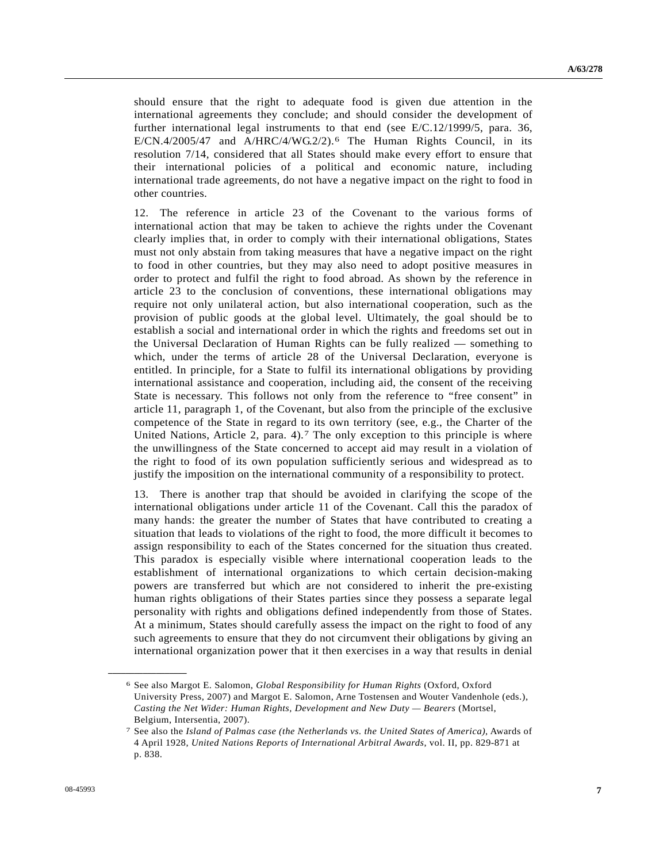should ensure that the right to adequate food is given due attention in the international agreements they conclude; and should consider the development of further international legal instruments to that end (see E/C.12/1999/5, para. 36,  $E/CN.4/2005/47$  and  $A/HRC/4/WG.2/2$ .<sup>6</sup> The Human Rights Council, in its resolution 7/14, considered that all States should make every effort to ensure that their international policies of a political and economic nature, including international trade agreements, do not have a negative impact on the right to food in other countries.

12. The reference in article 23 of the Covenant to the various forms of international action that may be taken to achieve the rights under the Covenant clearly implies that, in order to comply with their international obligations, States must not only abstain from taking measures that have a negative impact on the right to food in other countries, but they may also need to adopt positive measures in order to protect and fulfil the right to food abroad. As shown by the reference in article 23 to the conclusion of conventions, these international obligations may require not only unilateral action, but also international cooperation, such as the provision of public goods at the global level. Ultimately, the goal should be to establish a social and international order in which the rights and freedoms set out in the Universal Declaration of Human Rights can be fully realized — something to which, under the terms of article 28 of the Universal Declaration, everyone is entitled. In principle, for a State to fulfil its international obligations by providing international assistance and cooperation, including aid, the consent of the receiving State is necessary. This follows not only from the reference to "free consent" in article 11, paragraph 1, of the Covenant, but also from the principle of the exclusive competence of the State in regard to its own territory (see, e.g., the Charter of the United Nations, Article 2, para. 4).[7](#page-6-1) The only exception to this principle is where the unwillingness of the State concerned to accept aid may result in a violation of the right to food of its own population sufficiently serious and widespread as to justify the imposition on the international community of a responsibility to protect.

13. There is another trap that should be avoided in clarifying the scope of the international obligations under article 11 of the Covenant. Call this the paradox of many hands: the greater the number of States that have contributed to creating a situation that leads to violations of the right to food, the more difficult it becomes to assign responsibility to each of the States concerned for the situation thus created. This paradox is especially visible where international cooperation leads to the establishment of international organizations to which certain decision-making powers are transferred but which are not considered to inherit the pre-existing human rights obligations of their States parties since they possess a separate legal personality with rights and obligations defined independently from those of States. At a minimum, States should carefully assess the impact on the right to food of any such agreements to ensure that they do not circumvent their obligations by giving an international organization power that it then exercises in a way that results in denial

<span id="page-6-0"></span><sup>6</sup> See also Margot E. Salomon, *Global Responsibility for Human Rights* (Oxford, Oxford University Press, 2007) and Margot E. Salomon, Arne Tostensen and Wouter Vandenhole (eds.), *Casting the Net Wider: Human Rights, Development and New Duty — Bearers* (Mortsel, Belgium, Intersentia, 2007).

<span id="page-6-1"></span><sup>7</sup> See also the *Island of Palmas case (the Netherlands vs. the United States of America)*, Awards of 4 April 1928, *United Nations Reports of International Arbitral Awards*, vol. II, pp. 829-871 at p. 838.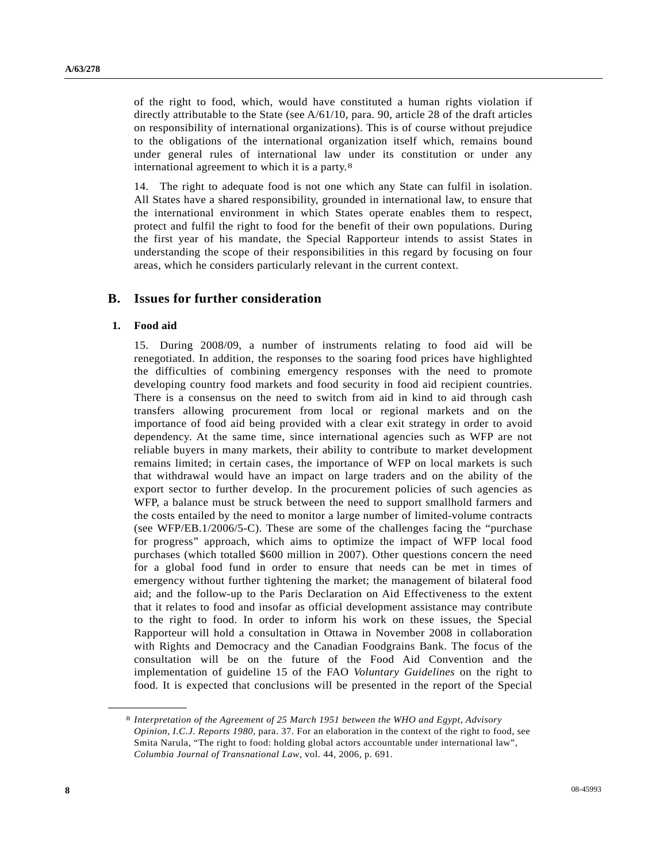of the right to food, which, would have constituted a human rights violation if directly attributable to the State (see  $A/61/10$ , para. 90, article 28 of the draft articles on responsibility of international organizations). This is of course without prejudice to the obligations of the international organization itself which, remains bound under general rules of international law under its constitution or under any international agreement to which it is a party.[8](#page-7-0)

14. The right to adequate food is not one which any State can fulfil in isolation. All States have a shared responsibility, grounded in international law, to ensure that the international environment in which States operate enables them to respect, protect and fulfil the right to food for the benefit of their own populations. During the first year of his mandate, the Special Rapporteur intends to assist States in understanding the scope of their responsibilities in this regard by focusing on four areas, which he considers particularly relevant in the current context.

### **B. Issues for further consideration**

#### **1. Food aid**

<span id="page-7-0"></span>**\_\_\_\_\_\_\_\_\_\_\_\_\_\_\_\_\_\_** 

15. During 2008/09, a number of instruments relating to food aid will be renegotiated. In addition, the responses to the soaring food prices have highlighted the difficulties of combining emergency responses with the need to promote developing country food markets and food security in food aid recipient countries. There is a consensus on the need to switch from aid in kind to aid through cash transfers allowing procurement from local or regional markets and on the importance of food aid being provided with a clear exit strategy in order to avoid dependency. At the same time, since international agencies such as WFP are not reliable buyers in many markets, their ability to contribute to market development remains limited; in certain cases, the importance of WFP on local markets is such that withdrawal would have an impact on large traders and on the ability of the export sector to further develop. In the procurement policies of such agencies as WFP, a balance must be struck between the need to support smallhold farmers and the costs entailed by the need to monitor a large number of limited-volume contracts (see WFP/EB.1/2006/5-C). These are some of the challenges facing the "purchase for progress" approach, which aims to optimize the impact of WFP local food purchases (which totalled \$600 million in 2007). Other questions concern the need for a global food fund in order to ensure that needs can be met in times of emergency without further tightening the market; the management of bilateral food aid; and the follow-up to the Paris Declaration on Aid Effectiveness to the extent that it relates to food and insofar as official development assistance may contribute to the right to food. In order to inform his work on these issues, the Special Rapporteur will hold a consultation in Ottawa in November 2008 in collaboration with Rights and Democracy and the Canadian Foodgrains Bank. The focus of the consultation will be on the future of the Food Aid Convention and the implementation of guideline 15 of the FAO *Voluntary Guidelines* on the right to food. It is expected that conclusions will be presented in the report of the Special

<sup>8</sup> *Interpretation of the Agreement of 25 March 1951 between the WHO and Egypt, Advisory Opinion, I.C.J. Reports 1980*, para. 37. For an elaboration in the context of the right to food, see Smita Narula, "The right to food: holding global actors accountable under international law", *Columbia Journal of Transnational Law*, vol. 44, 2006, p. 691.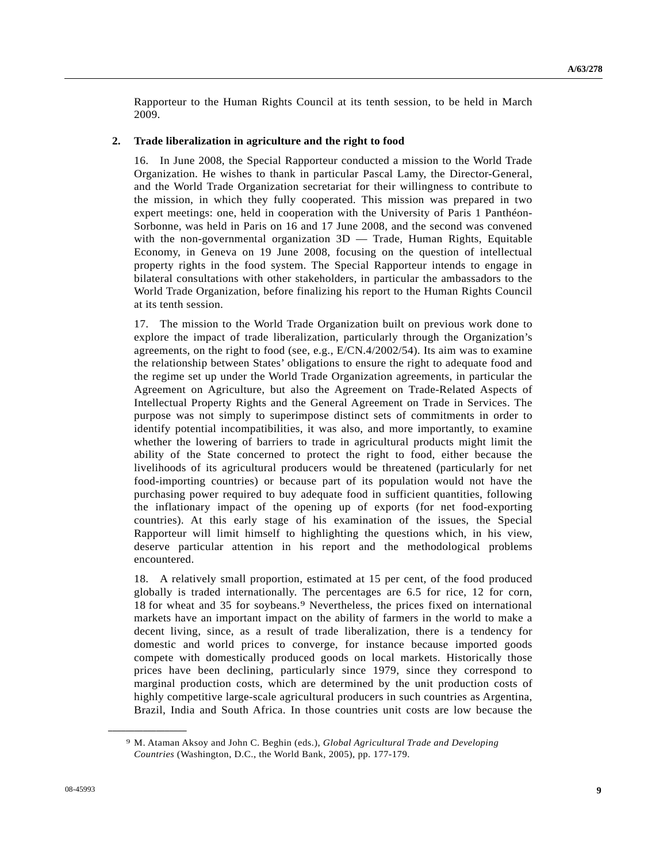Rapporteur to the Human Rights Council at its tenth session, to be held in March 2009.

#### **2. Trade liberalization in agriculture and the right to food**

16. In June 2008, the Special Rapporteur conducted a mission to the World Trade Organization. He wishes to thank in particular Pascal Lamy, the Director-General, and the World Trade Organization secretariat for their willingness to contribute to the mission, in which they fully cooperated. This mission was prepared in two expert meetings: one, held in cooperation with the University of Paris 1 Panthéon-Sorbonne, was held in Paris on 16 and 17 June 2008, and the second was convened with the non-governmental organization 3D — Trade, Human Rights, Equitable Economy, in Geneva on 19 June 2008, focusing on the question of intellectual property rights in the food system. The Special Rapporteur intends to engage in bilateral consultations with other stakeholders, in particular the ambassadors to the World Trade Organization, before finalizing his report to the Human Rights Council at its tenth session.

17. The mission to the World Trade Organization built on previous work done to explore the impact of trade liberalization, particularly through the Organization's agreements, on the right to food (see, e.g., E/CN.4/2002/54). Its aim was to examine the relationship between States' obligations to ensure the right to adequate food and the regime set up under the World Trade Organization agreements, in particular the Agreement on Agriculture, but also the Agreement on Trade-Related Aspects of Intellectual Property Rights and the General Agreement on Trade in Services. The purpose was not simply to superimpose distinct sets of commitments in order to identify potential incompatibilities, it was also, and more importantly, to examine whether the lowering of barriers to trade in agricultural products might limit the ability of the State concerned to protect the right to food, either because the livelihoods of its agricultural producers would be threatened (particularly for net food-importing countries) or because part of its population would not have the purchasing power required to buy adequate food in sufficient quantities, following the inflationary impact of the opening up of exports (for net food-exporting countries). At this early stage of his examination of the issues, the Special Rapporteur will limit himself to highlighting the questions which, in his view, deserve particular attention in his report and the methodological problems encountered.

18. A relatively small proportion, estimated at 15 per cent, of the food produced globally is traded internationally. The percentages are 6.5 for rice, 12 for corn, 18 for wheat and 35 for soybeans.[9](#page-8-0) Nevertheless, the prices fixed on international markets have an important impact on the ability of farmers in the world to make a decent living, since, as a result of trade liberalization, there is a tendency for domestic and world prices to converge, for instance because imported goods compete with domestically produced goods on local markets. Historically those prices have been declining, particularly since 1979, since they correspond to marginal production costs, which are determined by the unit production costs of highly competitive large-scale agricultural producers in such countries as Argentina, Brazil, India and South Africa. In those countries unit costs are low because the

<span id="page-8-0"></span><sup>9</sup> M. Ataman Aksoy and John C. Beghin (eds.), *Global Agricultural Trade and Developing Countries* (Washington, D.C., the World Bank, 2005), pp. 177-179.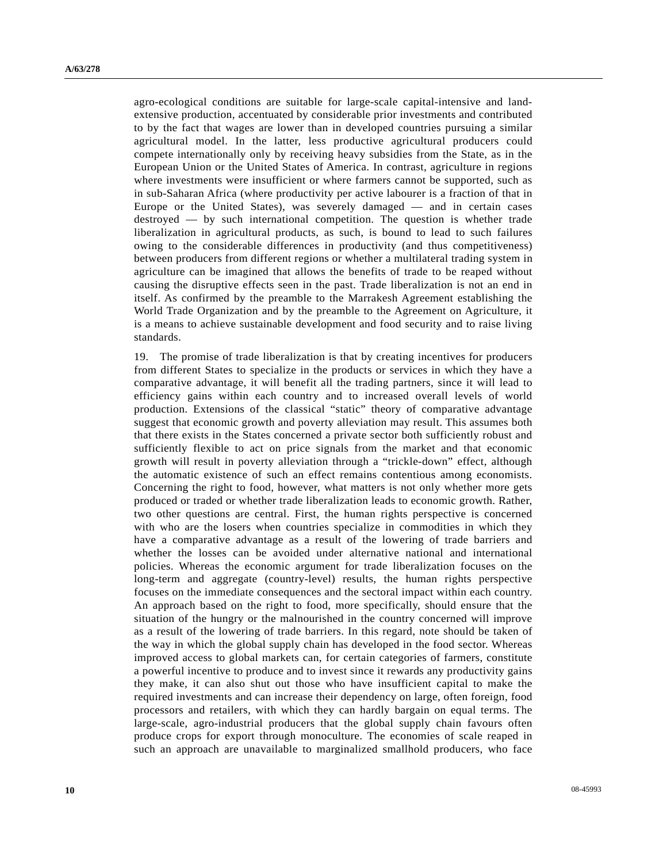agro-ecological conditions are suitable for large-scale capital-intensive and landextensive production, accentuated by considerable prior investments and contributed to by the fact that wages are lower than in developed countries pursuing a similar agricultural model. In the latter, less productive agricultural producers could compete internationally only by receiving heavy subsidies from the State, as in the European Union or the United States of America. In contrast, agriculture in regions where investments were insufficient or where farmers cannot be supported, such as in sub-Saharan Africa (where productivity per active labourer is a fraction of that in Europe or the United States), was severely damaged — and in certain cases destroyed — by such international competition. The question is whether trade liberalization in agricultural products, as such, is bound to lead to such failures owing to the considerable differences in productivity (and thus competitiveness) between producers from different regions or whether a multilateral trading system in agriculture can be imagined that allows the benefits of trade to be reaped without causing the disruptive effects seen in the past. Trade liberalization is not an end in itself. As confirmed by the preamble to the Marrakesh Agreement establishing the World Trade Organization and by the preamble to the Agreement on Agriculture, it is a means to achieve sustainable development and food security and to raise living standards.

19. The promise of trade liberalization is that by creating incentives for producers from different States to specialize in the products or services in which they have a comparative advantage, it will benefit all the trading partners, since it will lead to efficiency gains within each country and to increased overall levels of world production. Extensions of the classical "static" theory of comparative advantage suggest that economic growth and poverty alleviation may result. This assumes both that there exists in the States concerned a private sector both sufficiently robust and sufficiently flexible to act on price signals from the market and that economic growth will result in poverty alleviation through a "trickle-down" effect, although the automatic existence of such an effect remains contentious among economists. Concerning the right to food, however, what matters is not only whether more gets produced or traded or whether trade liberalization leads to economic growth. Rather, two other questions are central. First, the human rights perspective is concerned with who are the losers when countries specialize in commodities in which they have a comparative advantage as a result of the lowering of trade barriers and whether the losses can be avoided under alternative national and international policies. Whereas the economic argument for trade liberalization focuses on the long-term and aggregate (country-level) results, the human rights perspective focuses on the immediate consequences and the sectoral impact within each country. An approach based on the right to food, more specifically, should ensure that the situation of the hungry or the malnourished in the country concerned will improve as a result of the lowering of trade barriers. In this regard, note should be taken of the way in which the global supply chain has developed in the food sector. Whereas improved access to global markets can, for certain categories of farmers, constitute a powerful incentive to produce and to invest since it rewards any productivity gains they make, it can also shut out those who have insufficient capital to make the required investments and can increase their dependency on large, often foreign, food processors and retailers, with which they can hardly bargain on equal terms. The large-scale, agro-industrial producers that the global supply chain favours often produce crops for export through monoculture. The economies of scale reaped in such an approach are unavailable to marginalized smallhold producers, who face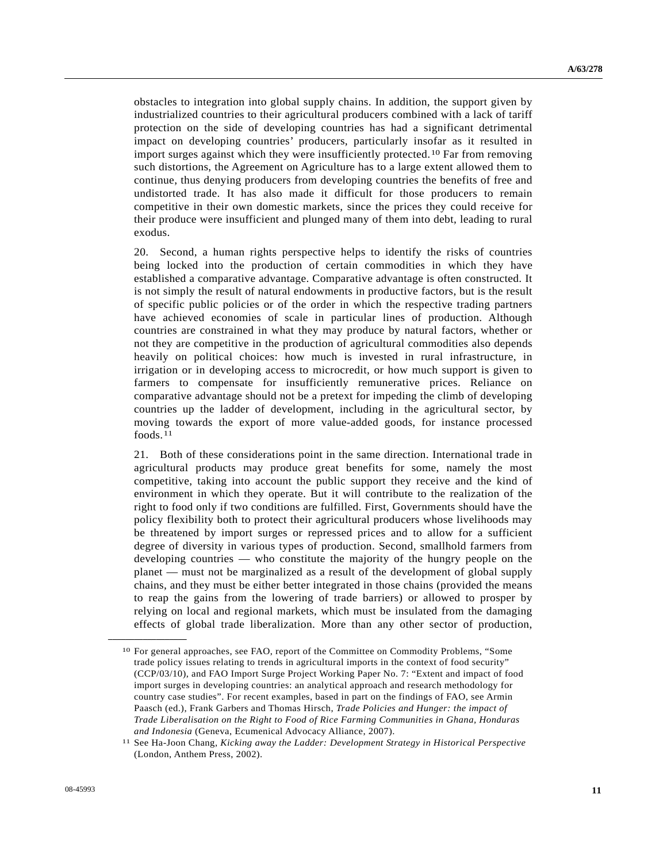obstacles to integration into global supply chains. In addition, the support given by industrialized countries to their agricultural producers combined with a lack of tariff protection on the side of developing countries has had a significant detrimental impact on developing countries' producers, particularly insofar as it resulted in import surges against which they were insufficiently protected.[10](#page-10-0) Far from removing such distortions, the Agreement on Agriculture has to a large extent allowed them to continue, thus denying producers from developing countries the benefits of free and undistorted trade. It has also made it difficult for those producers to remain competitive in their own domestic markets, since the prices they could receive for their produce were insufficient and plunged many of them into debt, leading to rural exodus.

20. Second, a human rights perspective helps to identify the risks of countries being locked into the production of certain commodities in which they have established a comparative advantage. Comparative advantage is often constructed. It is not simply the result of natural endowments in productive factors, but is the result of specific public policies or of the order in which the respective trading partners have achieved economies of scale in particular lines of production. Although countries are constrained in what they may produce by natural factors, whether or not they are competitive in the production of agricultural commodities also depends heavily on political choices: how much is invested in rural infrastructure, in irrigation or in developing access to microcredit, or how much support is given to farmers to compensate for insufficiently remunerative prices. Reliance on comparative advantage should not be a pretext for impeding the climb of developing countries up the ladder of development, including in the agricultural sector, by moving towards the export of more value-added goods, for instance processed foods.[1](#page-10-1)1

21. Both of these considerations point in the same direction. International trade in agricultural products may produce great benefits for some, namely the most competitive, taking into account the public support they receive and the kind of environment in which they operate. But it will contribute to the realization of the right to food only if two conditions are fulfilled. First, Governments should have the policy flexibility both to protect their agricultural producers whose livelihoods may be threatened by import surges or repressed prices and to allow for a sufficient degree of diversity in various types of production. Second, smallhold farmers from developing countries — who constitute the majority of the hungry people on the planet — must not be marginalized as a result of the development of global supply chains, and they must be either better integrated in those chains (provided the means to reap the gains from the lowering of trade barriers) or allowed to prosper by relying on local and regional markets, which must be insulated from the damaging effects of global trade liberalization. More than any other sector of production,

<span id="page-10-0"></span><sup>10</sup> For general approaches, see FAO, report of the Committee on Commodity Problems, "Some trade policy issues relating to trends in agricultural imports in the context of food security" (CCP/03/10), and FAO Import Surge Project Working Paper No. 7: "Extent and impact of food import surges in developing countries: an analytical approach and research methodology for country case studies". For recent examples, based in part on the findings of FAO, see Armin Paasch (ed.), Frank Garbers and Thomas Hirsch, *Trade Policies and Hunger: the impact of Trade Liberalisation on the Right to Food of Rice Farming Communities in Ghana, Honduras and Indonesia* (Geneva, Ecumenical Advocacy Alliance, 2007). 11 See Ha-Joon Chang, *Kicking away the Ladder: Development Strategy in Historical Perspective*

<span id="page-10-1"></span><sup>(</sup>London, Anthem Press, 2002).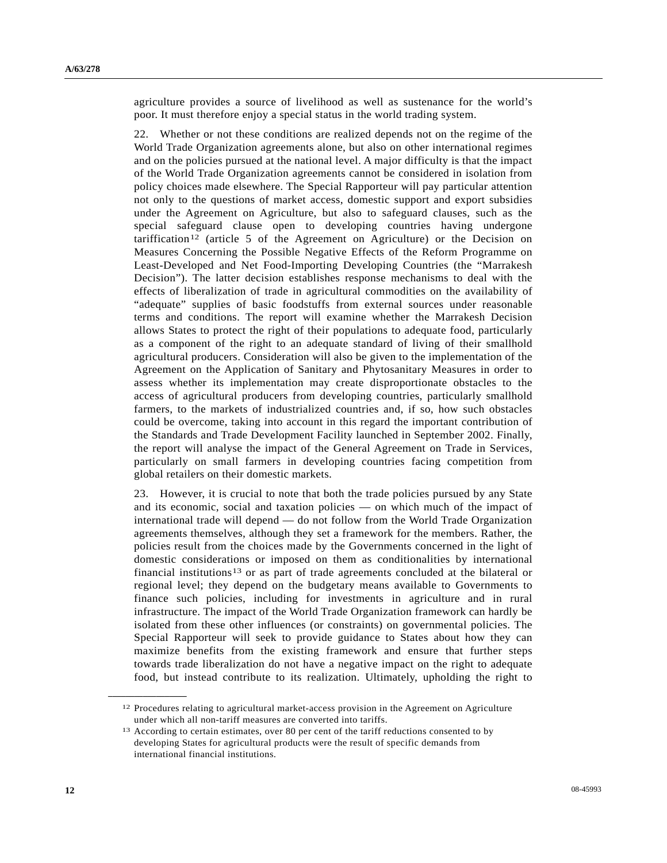agriculture provides a source of livelihood as well as sustenance for the world's poor. It must therefore enjoy a special status in the world trading system.

22. Whether or not these conditions are realized depends not on the regime of the World Trade Organization agreements alone, but also on other international regimes and on the policies pursued at the national level. A major difficulty is that the impact of the World Trade Organization agreements cannot be considered in isolation from policy choices made elsewhere. The Special Rapporteur will pay particular attention not only to the questions of market access, domestic support and export subsidies under the Agreement on Agriculture, but also to safeguard clauses, such as the special safeguard clause open to developing countries having undergone tariffication<sup>[12](#page-11-0)</sup> (article 5 of the Agreement on Agriculture) or the Decision on Measures Concerning the Possible Negative Effects of the Reform Programme on Least-Developed and Net Food-Importing Developing Countries (the "Marrakesh Decision"). The latter decision establishes response mechanisms to deal with the effects of liberalization of trade in agricultural commodities on the availability of "adequate" supplies of basic foodstuffs from external sources under reasonable terms and conditions. The report will examine whether the Marrakesh Decision allows States to protect the right of their populations to adequate food, particularly as a component of the right to an adequate standard of living of their smallhold agricultural producers. Consideration will also be given to the implementation of the Agreement on the Application of Sanitary and Phytosanitary Measures in order to assess whether its implementation may create disproportionate obstacles to the access of agricultural producers from developing countries, particularly smallhold farmers, to the markets of industrialized countries and, if so, how such obstacles could be overcome, taking into account in this regard the important contribution of the Standards and Trade Development Facility launched in September 2002. Finally, the report will analyse the impact of the General Agreement on Trade in Services, particularly on small farmers in developing countries facing competition from global retailers on their domestic markets.

23. However, it is crucial to note that both the trade policies pursued by any State and its economic, social and taxation policies — on which much of the impact of international trade will depend — do not follow from the World Trade Organization agreements themselves, although they set a framework for the members. Rather, the policies result from the choices made by the Governments concerned in the light of domestic considerations or imposed on them as conditionalities by international financial institutions[13](#page-11-1) or as part of trade agreements concluded at the bilateral or regional level; they depend on the budgetary means available to Governments to finance such policies, including for investments in agriculture and in rural infrastructure. The impact of the World Trade Organization framework can hardly be isolated from these other influences (or constraints) on governmental policies. The Special Rapporteur will seek to provide guidance to States about how they can maximize benefits from the existing framework and ensure that further steps towards trade liberalization do not have a negative impact on the right to adequate food, but instead contribute to its realization. Ultimately, upholding the right to

<span id="page-11-0"></span><sup>12</sup> Procedures relating to agricultural market-access provision in the Agreement on Agriculture under which all non-tariff measures are converted into tariffs.

<span id="page-11-1"></span><sup>&</sup>lt;sup>13</sup> According to certain estimates, over 80 per cent of the tariff reductions consented to by developing States for agricultural products were the result of specific demands from international financial institutions.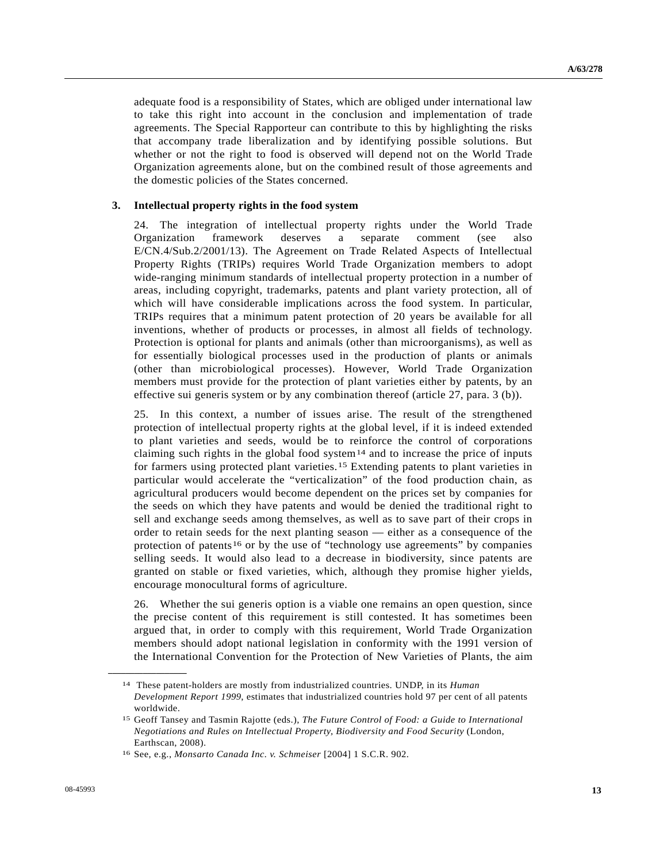adequate food is a responsibility of States, which are obliged under international law to take this right into account in the conclusion and implementation of trade agreements. The Special Rapporteur can contribute to this by highlighting the risks that accompany trade liberalization and by identifying possible solutions. But whether or not the right to food is observed will depend not on the World Trade Organization agreements alone, but on the combined result of those agreements and the domestic policies of the States concerned.

#### **3. Intellectual property rights in the food system**

24. The integration of intellectual property rights under the World Trade Organization framework deserves a separate comment (see also E/CN.4/Sub.2/2001/13). The Agreement on Trade Related Aspects of Intellectual Property Rights (TRIPs) requires World Trade Organization members to adopt wide-ranging minimum standards of intellectual property protection in a number of areas, including copyright, trademarks, patents and plant variety protection, all of which will have considerable implications across the food system. In particular, TRIPs requires that a minimum patent protection of 20 years be available for all inventions, whether of products or processes, in almost all fields of technology. Protection is optional for plants and animals (other than microorganisms), as well as for essentially biological processes used in the production of plants or animals (other than microbiological processes). However, World Trade Organization members must provide for the protection of plant varieties either by patents, by an effective sui generis system or by any combination thereof (article 27, para. 3 (b)).

25. In this context, a number of issues arise. The result of the strengthened protection of intellectual property rights at the global level, if it is indeed extended to plant varieties and seeds, would be to reinforce the control of corporations claiming such rights in the global food system<sup>[14](#page-12-0)</sup> and to increase the price of inputs for farmers using protected plant varieties.[15](#page-12-1) Extending patents to plant varieties in particular would accelerate the "verticalization" of the food production chain, as agricultural producers would become dependent on the prices set by companies for the seeds on which they have patents and would be denied the traditional right to sell and exchange seeds among themselves, as well as to save part of their crops in order to retain seeds for the next planting season — either as a consequence of the protection of patents<sup>[16](#page-12-2)</sup> or by the use of "technology use agreements" by companies selling seeds. It would also lead to a decrease in biodiversity, since patents are granted on stable or fixed varieties, which, although they promise higher yields, encourage monocultural forms of agriculture.

26. Whether the sui generis option is a viable one remains an open question, since the precise content of this requirement is still contested. It has sometimes been argued that, in order to comply with this requirement, World Trade Organization members should adopt national legislation in conformity with the 1991 version of the International Convention for the Protection of New Varieties of Plants, the aim

<span id="page-12-0"></span><sup>14</sup> These patent-holders are mostly from industrialized countries. UNDP, in its *Human Development Report 1999*, estimates that industrialized countries hold 97 per cent of all patents worldwide.

<span id="page-12-1"></span><sup>15</sup> Geoff Tansey and Tasmin Rajotte (eds.), *The Future Control of Food: a Guide to International Negotiations and Rules on Intellectual Property, Biodiversity and Food Security* (London, Earthscan, 2008).

<span id="page-12-2"></span><sup>16</sup> See, e.g., *Monsarto Canada Inc. v. Schmeiser* [2004] 1 S.C.R. 902.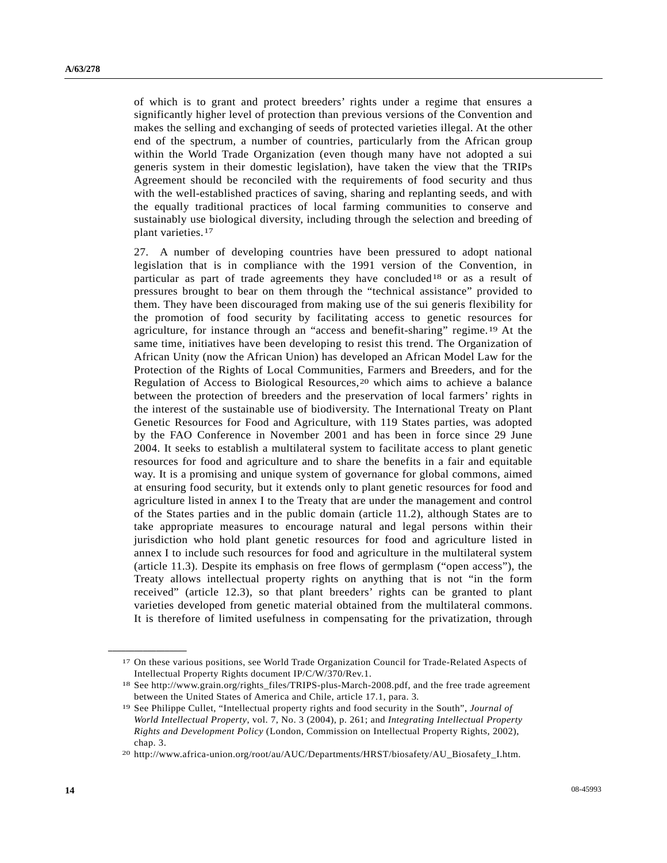of which is to grant and protect breeders' rights under a regime that ensures a significantly higher level of protection than previous versions of the Convention and makes the selling and exchanging of seeds of protected varieties illegal. At the other end of the spectrum, a number of countries, particularly from the African group within the World Trade Organization (even though many have not adopted a sui generis system in their domestic legislation), have taken the view that the TRIPs Agreement should be reconciled with the requirements of food security and thus with the well-established practices of saving, sharing and replanting seeds, and with the equally traditional practices of local farming communities to conserve and sustainably use biological diversity, including through the selection and breeding of plant varieties.[17](#page-13-0)

27. A number of developing countries have been pressured to adopt national legislation that is in compliance with the 1991 version of the Convention, in particular as part of trade agreements they have concluded[1](#page-13-1)8 or as a result of pressures brought to bear on them through the "technical assistance" provided to them. They have been discouraged from making use of the sui generis flexibility for the promotion of food security by facilitating access to genetic resources for agriculture, for instance through an "access and benefit-sharing" regime.[19](#page-13-2) At the same time, initiatives have been developing to resist this trend. The Organization of African Unity (now the African Union) has developed an African Model Law for the Protection of the Rights of Local Communities, Farmers and Breeders, and for the Regulation of Access to Biological Resources,[20](#page-13-3) which aims to achieve a balance between the protection of breeders and the preservation of local farmers' rights in the interest of the sustainable use of biodiversity. The International Treaty on Plant Genetic Resources for Food and Agriculture, with 119 States parties, was adopted by the FAO Conference in November 2001 and has been in force since 29 June 2004. It seeks to establish a multilateral system to facilitate access to plant genetic resources for food and agriculture and to share the benefits in a fair and equitable way. It is a promising and unique system of governance for global commons, aimed at ensuring food security, but it extends only to plant genetic resources for food and agriculture listed in annex I to the Treaty that are under the management and control of the States parties and in the public domain (article 11.2), although States are to take appropriate measures to encourage natural and legal persons within their jurisdiction who hold plant genetic resources for food and agriculture listed in annex I to include such resources for food and agriculture in the multilateral system (article 11.3). Despite its emphasis on free flows of germplasm ("open access"), the Treaty allows intellectual property rights on anything that is not "in the form received" (article 12.3), so that plant breeders' rights can be granted to plant varieties developed from genetic material obtained from the multilateral commons. It is therefore of limited usefulness in compensating for the privatization, through

<span id="page-13-0"></span><sup>17</sup> On these various positions, see World Trade Organization Council for Trade-Related Aspects of Intellectual Property Rights document IP/C/W/370/Rev.1.

<span id="page-13-1"></span><sup>&</sup>lt;sup>18</sup> See http://www.grain.org/rights files/TRIPS-plus-March-2008.pdf, and the free trade agreement between the United States of America and Chile, article 17.1, para. 3*.*

<span id="page-13-2"></span><sup>19</sup> See Philippe Cullet, "Intellectual property rights and food security in the South", *Journal of World Intellectual Property*, vol. 7, No. 3 (2004), p. 261; and *Integrating Intellectual Property Rights and Development Policy* (London, Commission on Intellectual Property Rights, 2002), chap. 3.

<span id="page-13-3"></span><sup>20</sup> http://www.africa-union.org/root/au/AUC/Departments/HRST/biosafety/AU\_Biosafety\_I.htm.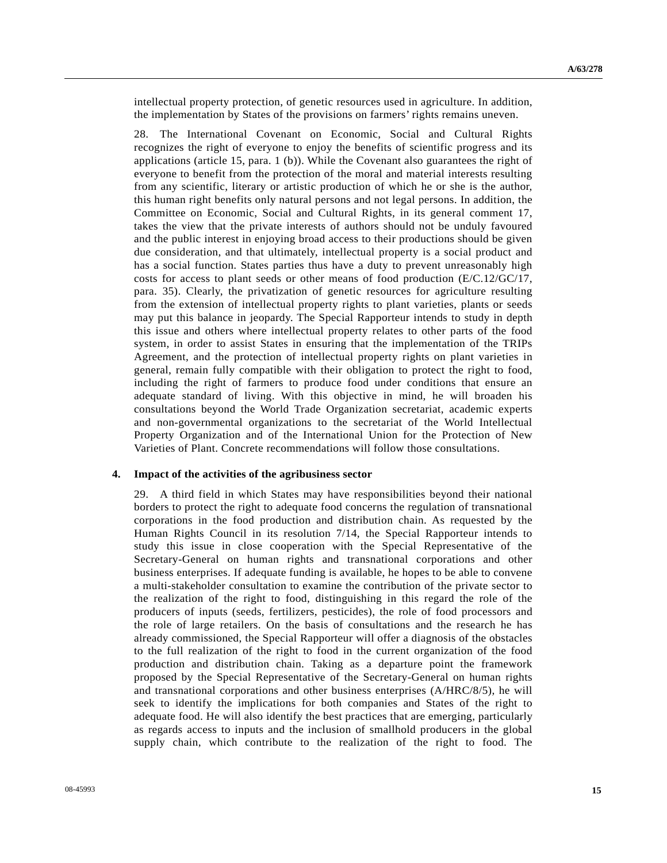intellectual property protection, of genetic resources used in agriculture. In addition, the implementation by States of the provisions on farmers' rights remains uneven.

28. The International Covenant on Economic, Social and Cultural Rights recognizes the right of everyone to enjoy the benefits of scientific progress and its applications (article 15, para. 1 (b)). While the Covenant also guarantees the right of everyone to benefit from the protection of the moral and material interests resulting from any scientific, literary or artistic production of which he or she is the author, this human right benefits only natural persons and not legal persons. In addition, the Committee on Economic, Social and Cultural Rights, in its general comment 17, takes the view that the private interests of authors should not be unduly favoured and the public interest in enjoying broad access to their productions should be given due consideration, and that ultimately, intellectual property is a social product and has a social function. States parties thus have a duty to prevent unreasonably high costs for access to plant seeds or other means of food production (E/C.12/GC/17, para. 35). Clearly, the privatization of genetic resources for agriculture resulting from the extension of intellectual property rights to plant varieties, plants or seeds may put this balance in jeopardy. The Special Rapporteur intends to study in depth this issue and others where intellectual property relates to other parts of the food system, in order to assist States in ensuring that the implementation of the TRIPs Agreement, and the protection of intellectual property rights on plant varieties in general, remain fully compatible with their obligation to protect the right to food, including the right of farmers to produce food under conditions that ensure an adequate standard of living. With this objective in mind, he will broaden his consultations beyond the World Trade Organization secretariat, academic experts and non-governmental organizations to the secretariat of the World Intellectual Property Organization and of the International Union for the Protection of New Varieties of Plant. Concrete recommendations will follow those consultations.

#### **4. Impact of the activities of the agribusiness sector**

29. A third field in which States may have responsibilities beyond their national borders to protect the right to adequate food concerns the regulation of transnational corporations in the food production and distribution chain. As requested by the Human Rights Council in its resolution 7/14, the Special Rapporteur intends to study this issue in close cooperation with the Special Representative of the Secretary-General on human rights and transnational corporations and other business enterprises. If adequate funding is available, he hopes to be able to convene a multi-stakeholder consultation to examine the contribution of the private sector to the realization of the right to food, distinguishing in this regard the role of the producers of inputs (seeds, fertilizers, pesticides), the role of food processors and the role of large retailers. On the basis of consultations and the research he has already commissioned, the Special Rapporteur will offer a diagnosis of the obstacles to the full realization of the right to food in the current organization of the food production and distribution chain. Taking as a departure point the framework proposed by the Special Representative of the Secretary-General on human rights and transnational corporations and other business enterprises (A/HRC/8/5), he will seek to identify the implications for both companies and States of the right to adequate food. He will also identify the best practices that are emerging, particularly as regards access to inputs and the inclusion of smallhold producers in the global supply chain, which contribute to the realization of the right to food. The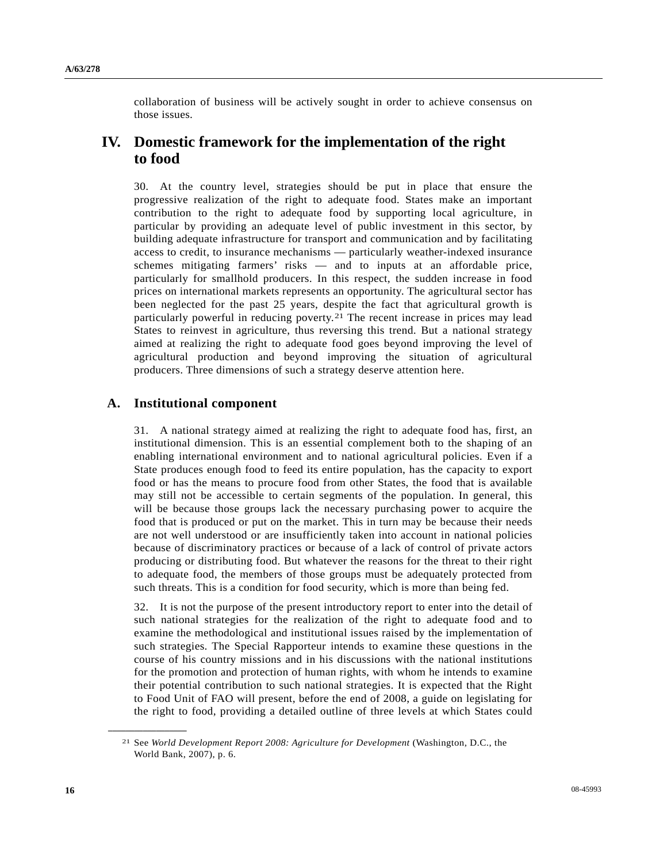collaboration of business will be actively sought in order to achieve consensus on those issues.

# **IV. Domestic framework for the implementation of the right to food**

30. At the country level, strategies should be put in place that ensure the progressive realization of the right to adequate food. States make an important contribution to the right to adequate food by supporting local agriculture, in particular by providing an adequate level of public investment in this sector, by building adequate infrastructure for transport and communication and by facilitating access to credit, to insurance mechanisms — particularly weather-indexed insurance schemes mitigating farmers' risks — and to inputs at an affordable price, particularly for smallhold producers. In this respect, the sudden increase in food prices on international markets represents an opportunity. The agricultural sector has been neglected for the past 25 years, despite the fact that agricultural growth is particularly powerful in reducing poverty.[2](#page-15-0)1 The recent increase in prices may lead States to reinvest in agriculture, thus reversing this trend. But a national strategy aimed at realizing the right to adequate food goes beyond improving the level of agricultural production and beyond improving the situation of agricultural producers. Three dimensions of such a strategy deserve attention here.

## **A. Institutional component**

31. A national strategy aimed at realizing the right to adequate food has, first, an institutional dimension. This is an essential complement both to the shaping of an enabling international environment and to national agricultural policies. Even if a State produces enough food to feed its entire population, has the capacity to export food or has the means to procure food from other States, the food that is available may still not be accessible to certain segments of the population. In general, this will be because those groups lack the necessary purchasing power to acquire the food that is produced or put on the market. This in turn may be because their needs are not well understood or are insufficiently taken into account in national policies because of discriminatory practices or because of a lack of control of private actors producing or distributing food. But whatever the reasons for the threat to their right to adequate food, the members of those groups must be adequately protected from such threats. This is a condition for food security, which is more than being fed.

32. It is not the purpose of the present introductory report to enter into the detail of such national strategies for the realization of the right to adequate food and to examine the methodological and institutional issues raised by the implementation of such strategies. The Special Rapporteur intends to examine these questions in the course of his country missions and in his discussions with the national institutions for the promotion and protection of human rights, with whom he intends to examine their potential contribution to such national strategies. It is expected that the Right to Food Unit of FAO will present, before the end of 2008, a guide on legislating for the right to food, providing a detailed outline of three levels at which States could

<span id="page-15-0"></span><sup>21</sup> See *World Development Report 2008: Agriculture for Development* (Washington, D.C., the World Bank, 2007), p. 6.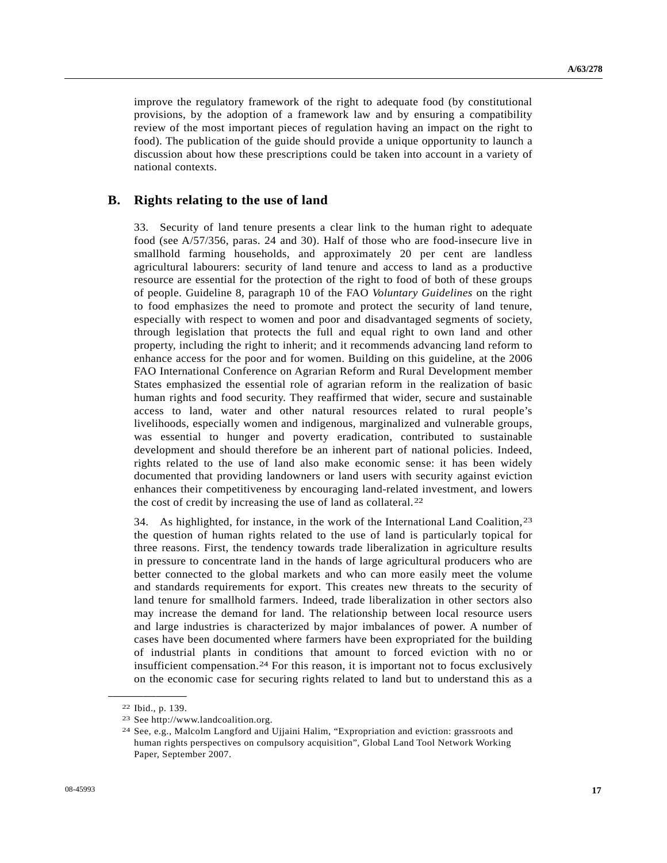improve the regulatory framework of the right to adequate food (by constitutional provisions, by the adoption of a framework law and by ensuring a compatibility review of the most important pieces of regulation having an impact on the right to food). The publication of the guide should provide a unique opportunity to launch a discussion about how these prescriptions could be taken into account in a variety of national contexts.

### **B. Rights relating to the use of land**

33. Security of land tenure presents a clear link to the human right to adequate food (see A/57/356, paras. 24 and 30). Half of those who are food-insecure live in smallhold farming households, and approximately 20 per cent are landless agricultural labourers: security of land tenure and access to land as a productive resource are essential for the protection of the right to food of both of these groups of people. Guideline 8, paragraph 10 of the FAO *Voluntary Guidelines* on the right to food emphasizes the need to promote and protect the security of land tenure, especially with respect to women and poor and disadvantaged segments of society, through legislation that protects the full and equal right to own land and other property, including the right to inherit; and it recommends advancing land reform to enhance access for the poor and for women. Building on this guideline, at the 2006 FAO International Conference on Agrarian Reform and Rural Development member States emphasized the essential role of agrarian reform in the realization of basic human rights and food security. They reaffirmed that wider, secure and sustainable access to land, water and other natural resources related to rural people's livelihoods, especially women and indigenous, marginalized and vulnerable groups, was essential to hunger and poverty eradication, contributed to sustainable development and should therefore be an inherent part of national policies. Indeed, rights related to the use of land also make economic sense: it has been widely documented that providing landowners or land users with security against eviction enhances their competitiveness by encouraging land-related investment, and lowers the cost of credit by increasing the use of land as collateral.[2](#page-16-0)2

34. As highlighted, for instance, in the work of the International Land Coalition,[23](#page-16-1) the question of human rights related to the use of land is particularly topical for three reasons. First, the tendency towards trade liberalization in agriculture results in pressure to concentrate land in the hands of large agricultural producers who are better connected to the global markets and who can more easily meet the volume and standards requirements for export. This creates new threats to the security of land tenure for smallhold farmers. Indeed, trade liberalization in other sectors also may increase the demand for land. The relationship between local resource users and large industries is characterized by major imbalances of power. A number of cases have been documented where farmers have been expropriated for the building of industrial plants in conditions that amount to forced eviction with no or insufficient compensation.[2](#page-16-2)4 For this reason, it is important not to focus exclusively on the economic case for securing rights related to land but to understand this as a

<span id="page-16-2"></span><span id="page-16-1"></span><span id="page-16-0"></span>**\_\_\_\_\_\_\_\_\_\_\_\_\_\_\_\_\_\_**  22 Ibid., p. 139.

<sup>23</sup> See http://www.landcoalition.org.

<sup>24</sup> See, e.g., Malcolm Langford and Ujjaini Halim, "Expropriation and eviction: grassroots and human rights perspectives on compulsory acquisition", Global Land Tool Network Working Paper, September 2007.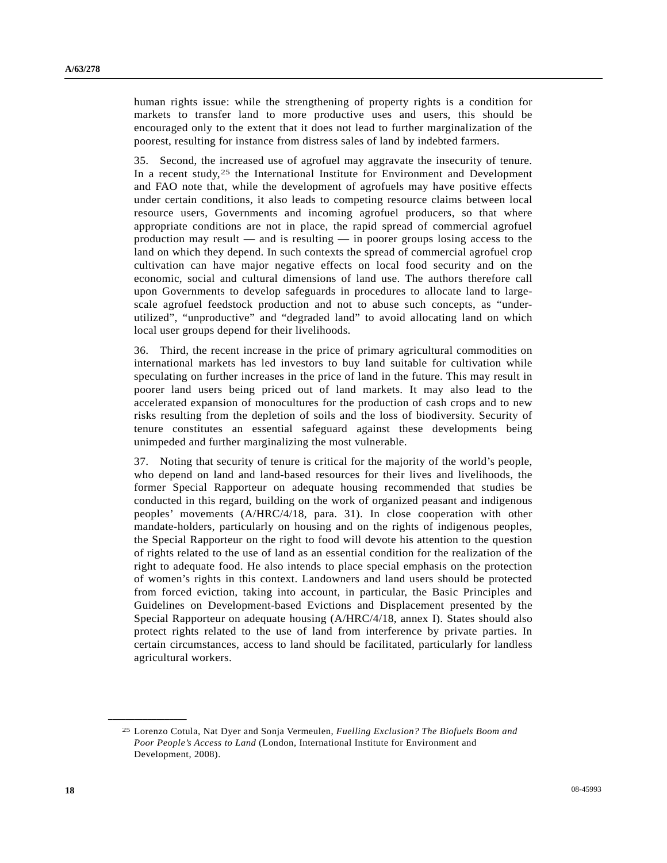human rights issue: while the strengthening of property rights is a condition for markets to transfer land to more productive uses and users, this should be encouraged only to the extent that it does not lead to further marginalization of the poorest, resulting for instance from distress sales of land by indebted farmers.

35. Second, the increased use of agrofuel may aggravate the insecurity of tenure. In a recent study,<sup>[25](#page-17-0)</sup> the International Institute for Environment and Development and FAO note that, while the development of agrofuels may have positive effects under certain conditions, it also leads to competing resource claims between local resource users, Governments and incoming agrofuel producers, so that where appropriate conditions are not in place, the rapid spread of commercial agrofuel production may result — and is resulting — in poorer groups losing access to the land on which they depend. In such contexts the spread of commercial agrofuel crop cultivation can have major negative effects on local food security and on the economic, social and cultural dimensions of land use. The authors therefore call upon Governments to develop safeguards in procedures to allocate land to largescale agrofuel feedstock production and not to abuse such concepts, as "underutilized", "unproductive" and "degraded land" to avoid allocating land on which local user groups depend for their livelihoods.

36. Third, the recent increase in the price of primary agricultural commodities on international markets has led investors to buy land suitable for cultivation while speculating on further increases in the price of land in the future. This may result in poorer land users being priced out of land markets. It may also lead to the accelerated expansion of monocultures for the production of cash crops and to new risks resulting from the depletion of soils and the loss of biodiversity. Security of tenure constitutes an essential safeguard against these developments being unimpeded and further marginalizing the most vulnerable.

37. Noting that security of tenure is critical for the majority of the world's people, who depend on land and land-based resources for their lives and livelihoods, the former Special Rapporteur on adequate housing recommended that studies be conducted in this regard, building on the work of organized peasant and indigenous peoples' movements (A/HRC/4/18, para. 31). In close cooperation with other mandate-holders, particularly on housing and on the rights of indigenous peoples, the Special Rapporteur on the right to food will devote his attention to the question of rights related to the use of land as an essential condition for the realization of the right to adequate food. He also intends to place special emphasis on the protection of women's rights in this context. Landowners and land users should be protected from forced eviction, taking into account, in particular, the Basic Principles and Guidelines on Development-based Evictions and Displacement presented by the Special Rapporteur on adequate housing (A/HRC/4/18, annex I). States should also protect rights related to the use of land from interference by private parties. In certain circumstances, access to land should be facilitated, particularly for landless agricultural workers.

<span id="page-17-0"></span><sup>25</sup> Lorenzo Cotula, Nat Dyer and Sonja Vermeulen, *Fuelling Exclusion? The Biofuels Boom and Poor People's Access to Land* (London, International Institute for Environment and Development, 2008).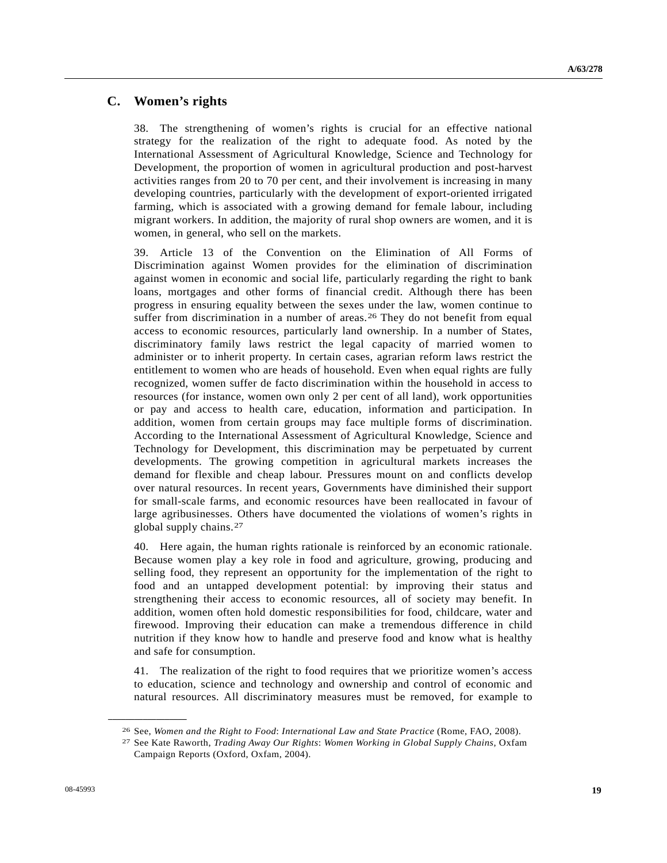### **C. Women's rights**

38. The strengthening of women's rights is crucial for an effective national strategy for the realization of the right to adequate food. As noted by the International Assessment of Agricultural Knowledge, Science and Technology for Development, the proportion of women in agricultural production and post-harvest activities ranges from 20 to 70 per cent, and their involvement is increasing in many developing countries, particularly with the development of export-oriented irrigated farming, which is associated with a growing demand for female labour, including migrant workers. In addition, the majority of rural shop owners are women, and it is women, in general, who sell on the markets.

39. Article 13 of the Convention on the Elimination of All Forms of Discrimination against Women provides for the elimination of discrimination against women in economic and social life, particularly regarding the right to bank loans, mortgages and other forms of financial credit. Although there has been progress in ensuring equality between the sexes under the law, women continue to suffer from discrimination in a number of areas.<sup>[26](#page-18-0)</sup> They do not benefit from equal access to economic resources, particularly land ownership. In a number of States, discriminatory family laws restrict the legal capacity of married women to administer or to inherit property. In certain cases, agrarian reform laws restrict the entitlement to women who are heads of household. Even when equal rights are fully recognized, women suffer de facto discrimination within the household in access to resources (for instance, women own only 2 per cent of all land), work opportunities or pay and access to health care, education, information and participation. In addition, women from certain groups may face multiple forms of discrimination. According to the International Assessment of Agricultural Knowledge, Science and Technology for Development, this discrimination may be perpetuated by current developments. The growing competition in agricultural markets increases the demand for flexible and cheap labour. Pressures mount on and conflicts develop over natural resources. In recent years, Governments have diminished their support for small-scale farms, and economic resources have been reallocated in favour of large agribusinesses. Others have documented the violations of women's rights in global supply chains.[2](#page-18-1)7

40. Here again, the human rights rationale is reinforced by an economic rationale. Because women play a key role in food and agriculture, growing, producing and selling food, they represent an opportunity for the implementation of the right to food and an untapped development potential: by improving their status and strengthening their access to economic resources, all of society may benefit. In addition, women often hold domestic responsibilities for food, childcare, water and firewood. Improving their education can make a tremendous difference in child nutrition if they know how to handle and preserve food and know what is healthy and safe for consumption.

41. The realization of the right to food requires that we prioritize women's access to education, science and technology and ownership and control of economic and natural resources. All discriminatory measures must be removed, for example to

<span id="page-18-1"></span><span id="page-18-0"></span><sup>26</sup> See, *Women and the Right to Food*: *International Law and State Practice* (Rome, FAO, 2008). 27 See Kate Raworth, *Trading Away Our Rights*: *Women Working in Global Supply Chains*, Oxfam

Campaign Reports (Oxford, Oxfam, 2004).